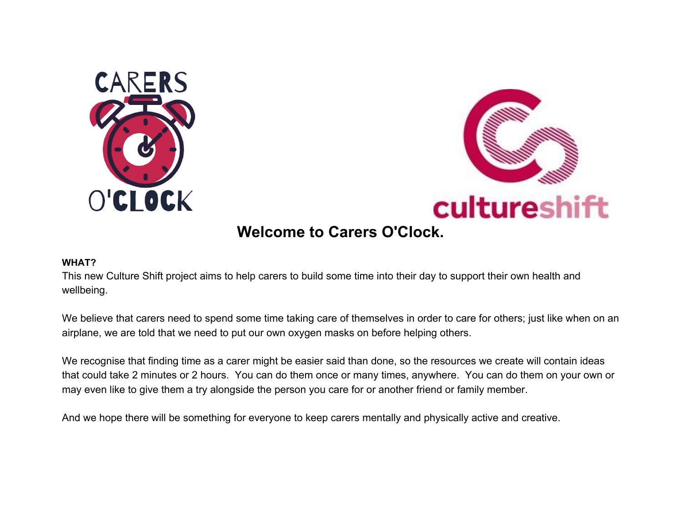



## **Welcome to Carers O'Clock.**

#### **WHAT?**

This new Culture Shift project aims to help carers to build some time into their day to support their own health and wellbeing.

We believe that carers need to spend some time taking care of themselves in order to care for others; just like when on an airplane, we are told that we need to put our own oxygen masks on before helping others.

We recognise that finding time as a carer might be easier said than done, so the resources we create will contain ideas that could take 2 minutes or 2 hours. You can do them once or many times, anywhere. You can do them on your own or may even like to give them a try alongside the person you care for or another friend or family member.

And we hope there will be something for everyone to keep carers mentally and physically active and creative.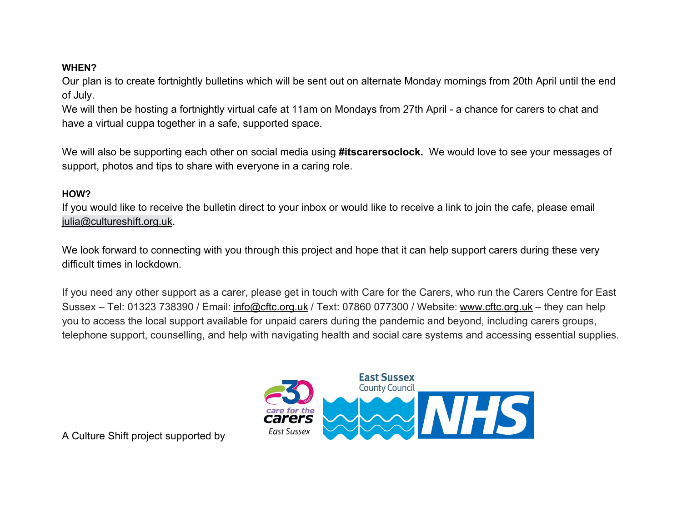### **WHEN?**

Our plan is to create fortnightly bulletins which will be sent out on alternate Monday mornings from 20th April until the end of July.

We will then be hosting a fortnightly virtual cafe at 11am on Mondays from 27th April - a chance for carers to chat and have a virtual cuppa together in a safe, supported space.

We will also be supporting each other on social media using **#itscarersoclock.** We would love to see your messages of support, photos and tips to share with everyone in a caring role.

## **HOW?**

If you would like to receive the bulletin direct to your inbox or would like to receive a link to join the cafe, please email julia@cultureshift.org.uk.

We look forward to connecting with you through this project and hope that it can help support carers during these very difficult times in lockdown.

If you need any other support as a carer, please get in touch with Care for the Carers, who run the Carers Centre for East Sussex – Tel: 01323 738390 / Email: info@cftc.org.uk / Text: 07860 077300 / Website: www.cftc.org.uk – they can help you to access the local support available for unpaid carers during the pandemic and beyond, including carers groups, telephone support, counselling, and help with navigating health and social care systems and accessing essential supplies.



A Culture Shift project supported by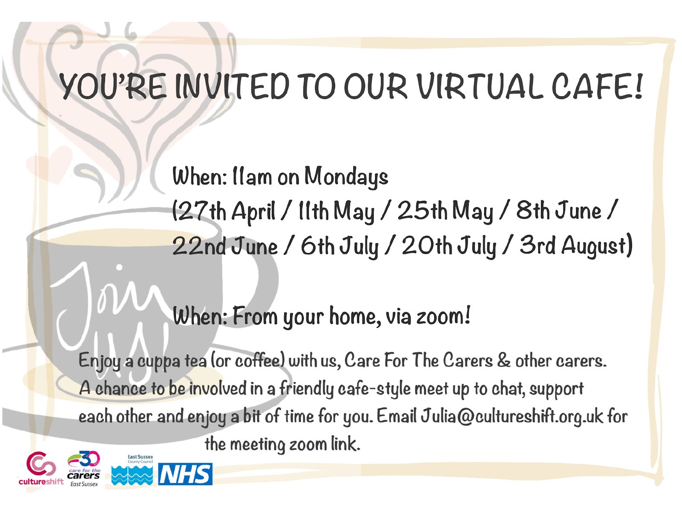# YOU'RE INVITED TO OUR VIRTUAL CAFE!

When: Ilam on Mondays (27th April / IIth May / 25th May / 8th June / 22nd June / 6th July / 20th July / 3rd August)

# When: From your home, via zoom!

Enjoy a cuppa tea (or coffee) with us, Care For The Carers & other carers. A chance to be involved in a friendly cafe-style meet up to chat, support each other and enjoy a bit of time for you. Email Julia@cultureshift.org.uk for the meeting zoom link.



**VHS**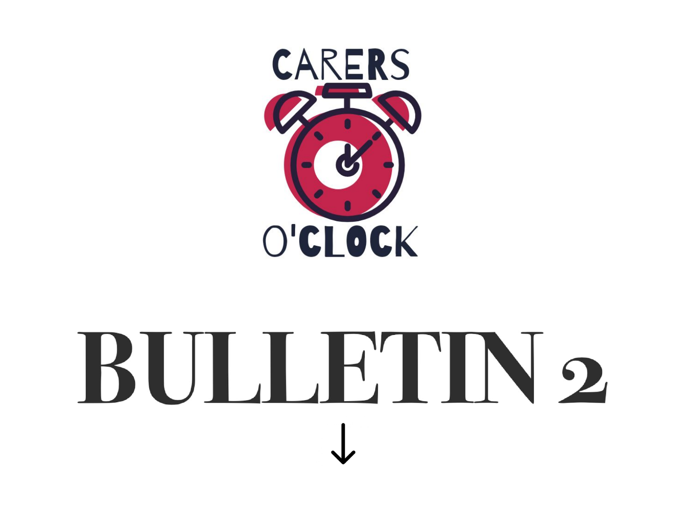

# BULLE'IN2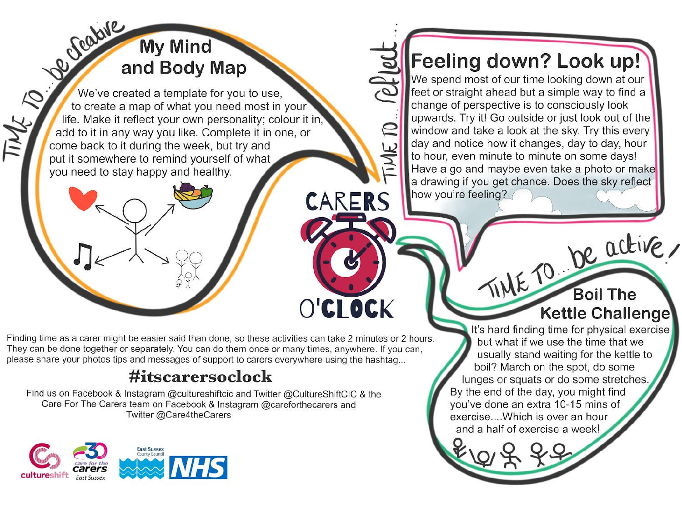## Be reative **My Mind** and Body Map

We've created a template for you to use, to create a map of what you need most in your life. Make it reflect your own personality; colour it in add to it in any way you like. Complete it in one, or come back to it during the week, but try and put it somewhere to remind yourself of what you need to stay happy and healthy.

Finding time as a carer might be easier said than done, so these activities can take 2 minutes or 2 hours. They can be done together or separately. You can do them once or many times, anywhere. If you can, please share your photos tips and messages of support to carers everywhere using the hashtag...

## #itscarersoclock

Find us on Facebook & Instagram @cultureshiftcic and Twitter @CultureShiftCIC & the Care For The Carers team on Facebook & Instagram @careforthecarers and Twitter @Care4theCarers



**Feeling down? Look up!** We spend most of our time looking down at our feet or straight ahead but a simple way to find a change of perspective is to consciously look upwards. Try it! Go outside or just look out of the window and take a look at the sky. Try this every day and notice how it changes, day to day, hour to hour, even minute to minute on some days! Have a go and maybe even take a photo or make a drawing if you get chance. Does the sky reflect how you're feeling?

 $\mathbb{Z}$ 

 $\Theta$ 

INE

CARERS

O'CI OCK

TIME TO be active, **Kettle Challenge** 

It's hard finding time for physical exercise but what if we use the time that we usually stand waiting for the kettle to boil? March on the spot, do some lunges or squats or do some stretches. By the end of the day, you might find you've done an extra 10-15 mins of exercise.... Which is over an hour and a half of exercise a week!